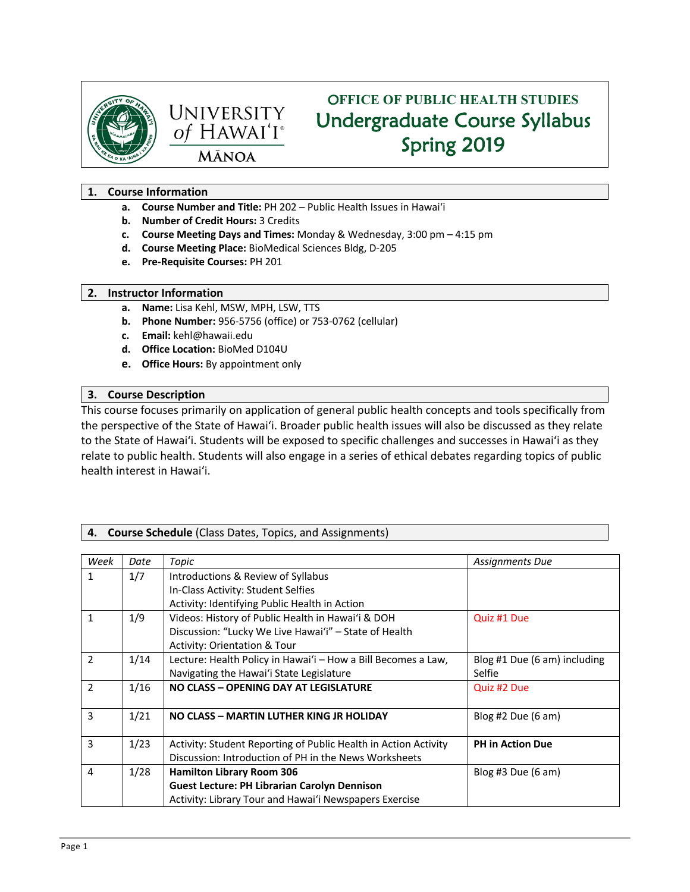



# O**FFICE OF PUBLIC HEALTH STUDIES** Undergraduate Course Syllabus Spring 2019

# **1. Course Information**

- **a. Course Number and Title:** PH 202 Public Health Issues in Hawai'i
- **b. Number of Credit Hours:** 3 Credits
- **c. Course Meeting Days and Times:** Monday & Wednesday, 3:00 pm 4:15 pm
- **d. Course Meeting Place:** BioMedical Sciences Bldg, D-205
- **e. Pre-Requisite Courses:** PH 201

## **2. Instructor Information**

- **a. Name:** Lisa Kehl, MSW, MPH, LSW, TTS
- **b. Phone Number:** 956-5756 (office) or 753-0762 (cellular)
- **c. Email:** kehl@hawaii.edu
- **d. Office Location:** BioMed D104U
- **e. Office Hours:** By appointment only

# **3. Course Description**

This course focuses primarily on application of general public health concepts and tools specifically from the perspective of the State of Hawai'i. Broader public health issues will also be discussed as they relate to the State of Hawai'i. Students will be exposed to specific challenges and successes in Hawai'i as they relate to public health. Students will also engage in a series of ethical debates regarding topics of public health interest in Hawai'i.

# **4. Course Schedule** (Class Dates, Topics, and Assignments)

| Week           | Date | Topic                                                           | Assignments Due              |
|----------------|------|-----------------------------------------------------------------|------------------------------|
| 1              | 1/7  | Introductions & Review of Syllabus                              |                              |
|                |      | In-Class Activity: Student Selfies                              |                              |
|                |      | Activity: Identifying Public Health in Action                   |                              |
| $\mathbf{1}$   | 1/9  | Videos: History of Public Health in Hawai'i & DOH               | Quiz #1 Due                  |
|                |      | Discussion: "Lucky We Live Hawai'i" - State of Health           |                              |
|                |      | Activity: Orientation & Tour                                    |                              |
| $\overline{2}$ | 1/14 | Lecture: Health Policy in Hawai'i - How a Bill Becomes a Law,   | Blog #1 Due (6 am) including |
|                |      | Navigating the Hawai'i State Legislature                        | Selfie                       |
| $\overline{2}$ | 1/16 | NO CLASS - OPENING DAY AT LEGISLATURE                           | Quiz #2 Due                  |
|                |      |                                                                 |                              |
| 3              | 1/21 | NO CLASS - MARTIN LUTHER KING JR HOLIDAY                        | Blog #2 Due $(6 \text{ am})$ |
|                |      |                                                                 |                              |
| 3              | 1/23 | Activity: Student Reporting of Public Health in Action Activity | <b>PH</b> in Action Due      |
|                |      | Discussion: Introduction of PH in the News Worksheets           |                              |
| $\overline{4}$ | 1/28 | <b>Hamilton Library Room 306</b>                                | Blog #3 Due $(6 \text{ am})$ |
|                |      | <b>Guest Lecture: PH Librarian Carolyn Dennison</b>             |                              |
|                |      | Activity: Library Tour and Hawai'i Newspapers Exercise          |                              |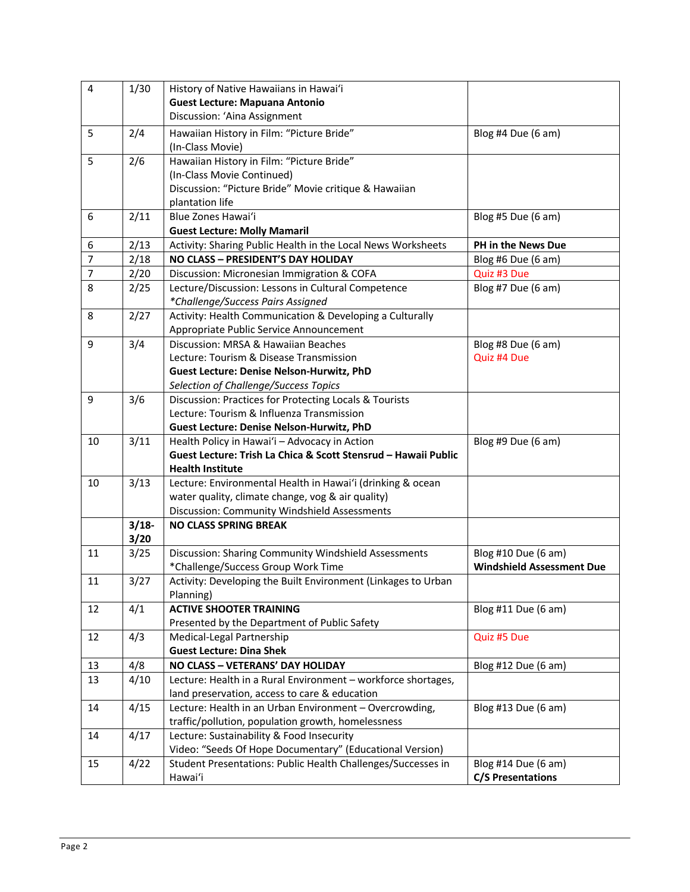| $\overline{\mathbf{4}}$ | 1/30    | History of Native Hawaiians in Hawai'i                                                    |                                  |  |
|-------------------------|---------|-------------------------------------------------------------------------------------------|----------------------------------|--|
|                         |         | <b>Guest Lecture: Mapuana Antonio</b>                                                     |                                  |  |
|                         |         | Discussion: 'Aina Assignment                                                              |                                  |  |
| 5                       | 2/4     | Hawaiian History in Film: "Picture Bride"                                                 | Blog #4 Due (6 am)               |  |
|                         |         | (In-Class Movie)                                                                          |                                  |  |
| 5                       | 2/6     | Hawaiian History in Film: "Picture Bride"                                                 |                                  |  |
|                         |         | (In-Class Movie Continued)                                                                |                                  |  |
|                         |         | Discussion: "Picture Bride" Movie critique & Hawaiian                                     |                                  |  |
|                         |         | plantation life                                                                           |                                  |  |
| 6                       | 2/11    | Blue Zones Hawai'i                                                                        | Blog #5 Due (6 am)               |  |
|                         |         | <b>Guest Lecture: Molly Mamaril</b>                                                       |                                  |  |
| 6                       | 2/13    | Activity: Sharing Public Health in the Local News Worksheets                              | PH in the News Due               |  |
| 7                       | 2/18    | NO CLASS - PRESIDENT'S DAY HOLIDAY                                                        | Blog #6 Due (6 am)               |  |
| 7                       | 2/20    | Discussion: Micronesian Immigration & COFA                                                | Quiz #3 Due                      |  |
| 8                       | 2/25    | Lecture/Discussion: Lessons in Cultural Competence                                        | Blog #7 Due (6 am)               |  |
|                         |         | *Challenge/Success Pairs Assigned                                                         |                                  |  |
| 8                       | 2/27    | Activity: Health Communication & Developing a Culturally                                  |                                  |  |
|                         |         | Appropriate Public Service Announcement                                                   |                                  |  |
| 9                       | 3/4     | Discussion: MRSA & Hawaiian Beaches                                                       | Blog #8 Due (6 am)               |  |
|                         |         | Lecture: Tourism & Disease Transmission                                                   | Quiz #4 Due                      |  |
|                         |         | Guest Lecture: Denise Nelson-Hurwitz, PhD                                                 |                                  |  |
|                         |         | Selection of Challenge/Success Topics                                                     |                                  |  |
| 9                       | 3/6     | Discussion: Practices for Protecting Locals & Tourists                                    |                                  |  |
|                         |         | Lecture: Tourism & Influenza Transmission                                                 |                                  |  |
|                         |         | Guest Lecture: Denise Nelson-Hurwitz, PhD                                                 |                                  |  |
| 10                      | 3/11    | Health Policy in Hawai'i - Advocacy in Action                                             | Blog #9 Due (6 am)               |  |
|                         |         | Guest Lecture: Trish La Chica & Scott Stensrud - Hawaii Public<br><b>Health Institute</b> |                                  |  |
| 10                      | 3/13    | Lecture: Environmental Health in Hawai'i (drinking & ocean                                |                                  |  |
|                         |         | water quality, climate change, vog & air quality)                                         |                                  |  |
|                         |         | Discussion: Community Windshield Assessments                                              |                                  |  |
|                         | $3/18-$ | <b>NO CLASS SPRING BREAK</b>                                                              |                                  |  |
|                         | 3/20    |                                                                                           |                                  |  |
| 11                      | 3/25    | Discussion: Sharing Community Windshield Assessments                                      | Blog #10 Due (6 am)              |  |
|                         |         | *Challenge/Success Group Work Time                                                        | <b>Windshield Assessment Due</b> |  |
| 11                      | 3/27    | Activity: Developing the Built Environment (Linkages to Urban                             |                                  |  |
|                         |         | Planning)                                                                                 |                                  |  |
| 12                      | 4/1     | <b>ACTIVE SHOOTER TRAINING</b>                                                            | Blog #11 Due (6 am)              |  |
|                         |         | Presented by the Department of Public Safety                                              |                                  |  |
| 12                      | 4/3     | Medical-Legal Partnership                                                                 | Quiz #5 Due                      |  |
|                         |         | <b>Guest Lecture: Dina Shek</b>                                                           |                                  |  |
| 13                      | 4/8     | NO CLASS - VETERANS' DAY HOLIDAY                                                          | Blog #12 Due (6 am)              |  |
| 13                      | 4/10    | Lecture: Health in a Rural Environment - workforce shortages,                             |                                  |  |
|                         |         | land preservation, access to care & education                                             |                                  |  |
| 14                      | 4/15    | Lecture: Health in an Urban Environment - Overcrowding,                                   | Blog #13 Due (6 am)              |  |
|                         |         | traffic/pollution, population growth, homelessness                                        |                                  |  |
| 14                      | 4/17    | Lecture: Sustainability & Food Insecurity                                                 |                                  |  |
|                         |         | Video: "Seeds Of Hope Documentary" (Educational Version)                                  |                                  |  |
| 15                      | 4/22    | Student Presentations: Public Health Challenges/Successes in                              | Blog #14 Due (6 am)              |  |
|                         |         | Hawai'i                                                                                   | <b>C/S Presentations</b>         |  |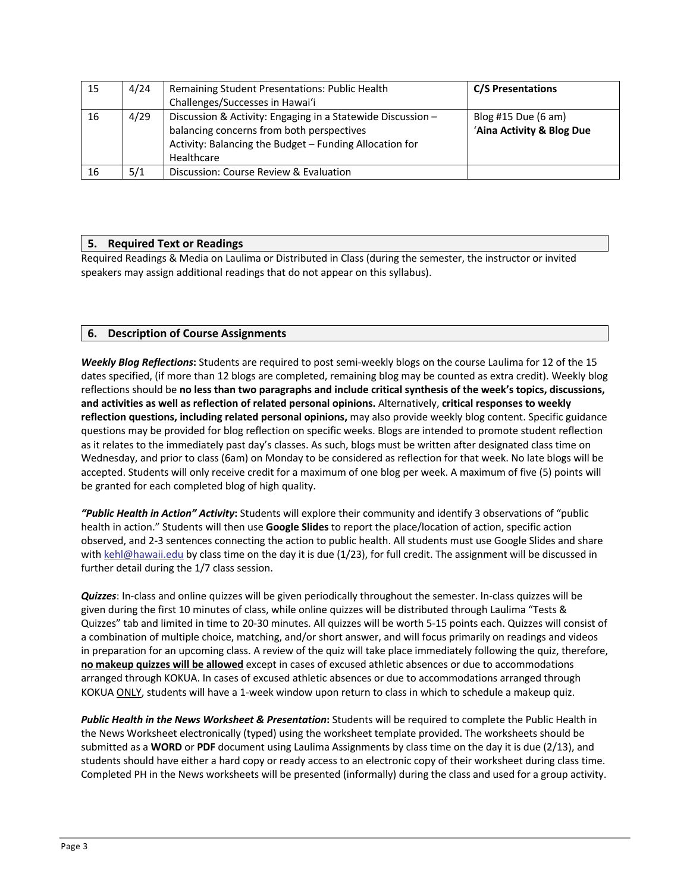| 15 | 4/24 | Remaining Student Presentations: Public Health                                                                                                                                    | <b>C/S Presentations</b>                                   |
|----|------|-----------------------------------------------------------------------------------------------------------------------------------------------------------------------------------|------------------------------------------------------------|
|    |      | Challenges/Successes in Hawai'i                                                                                                                                                   |                                                            |
| 16 | 4/29 | Discussion & Activity: Engaging in a Statewide Discussion -<br>balancing concerns from both perspectives<br>Activity: Balancing the Budget - Funding Allocation for<br>Healthcare | Blog #15 Due $(6 \text{ am})$<br>'Aina Activity & Blog Due |
| 16 | 5/1  | Discussion: Course Review & Evaluation                                                                                                                                            |                                                            |

# **5. Required Text or Readings**

Required Readings & Media on Laulima or Distributed in Class (during the semester, the instructor or invited speakers may assign additional readings that do not appear on this syllabus).

# **6. Description of Course Assignments**

*Weekly Blog Reflections***:** Students are required to post semi-weekly blogs on the course Laulima for 12 of the 15 dates specified, (if more than 12 blogs are completed, remaining blog may be counted as extra credit). Weekly blog reflections should be **no less than two paragraphs and include critical synthesis of the week's topics, discussions, and activities as well as reflection of related personal opinions.** Alternatively, **critical responses to weekly reflection questions, including related personal opinions,** may also provide weekly blog content. Specific guidance questions may be provided for blog reflection on specific weeks. Blogs are intended to promote student reflection as it relates to the immediately past day's classes. As such, blogs must be written after designated class time on Wednesday, and prior to class (6am) on Monday to be considered as reflection for that week. No late blogs will be accepted. Students will only receive credit for a maximum of one blog per week. A maximum of five (5) points will be granted for each completed blog of high quality.

*"Public Health in Action" Activity***:** Students will explore their community and identify 3 observations of "public health in action." Students will then use **Google Slides** to report the place/location of action, specific action observed, and 2-3 sentences connecting the action to public health. All students must use Google Slides and share with kehl@hawaii.edu by class time on the day it is due (1/23), for full credit. The assignment will be discussed in further detail during the 1/7 class session.

*Quizzes*: In-class and online quizzes will be given periodically throughout the semester. In-class quizzes will be given during the first 10 minutes of class, while online quizzes will be distributed through Laulima "Tests & Quizzes" tab and limited in time to 20-30 minutes. All quizzes will be worth 5-15 points each. Quizzes will consist of a combination of multiple choice, matching, and/or short answer, and will focus primarily on readings and videos in preparation for an upcoming class. A review of the quiz will take place immediately following the quiz, therefore, **no makeup quizzes will be allowed** except in cases of excused athletic absences or due to accommodations arranged through KOKUA. In cases of excused athletic absences or due to accommodations arranged through KOKUA ONLY, students will have a 1-week window upon return to class in which to schedule a makeup quiz.

*Public Health in the News Worksheet & Presentation***:** Students will be required to complete the Public Health in the News Worksheet electronically (typed) using the worksheet template provided. The worksheets should be submitted as a **WORD** or **PDF** document using Laulima Assignments by class time on the day it is due (2/13), and students should have either a hard copy or ready access to an electronic copy of their worksheet during class time. Completed PH in the News worksheets will be presented (informally) during the class and used for a group activity.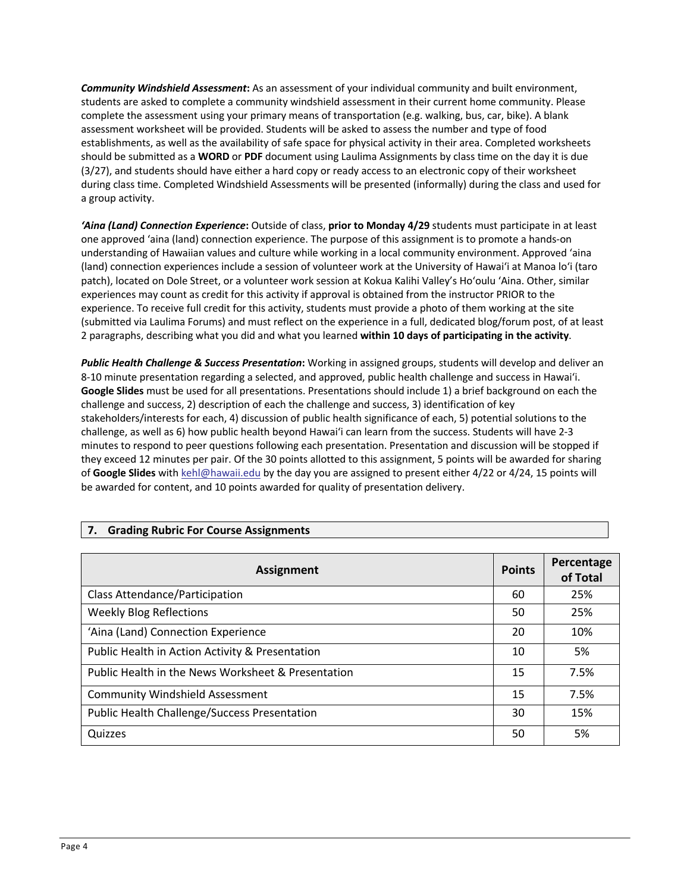*Community Windshield Assessment***:** As an assessment of your individual community and built environment, students are asked to complete a community windshield assessment in their current home community. Please complete the assessment using your primary means of transportation (e.g. walking, bus, car, bike). A blank assessment worksheet will be provided. Students will be asked to assess the number and type of food establishments, as well as the availability of safe space for physical activity in their area. Completed worksheets should be submitted as a **WORD** or **PDF** document using Laulima Assignments by class time on the day it is due (3/27), and students should have either a hard copy or ready access to an electronic copy of their worksheet during class time. Completed Windshield Assessments will be presented (informally) during the class and used for a group activity.

*'Aina (Land) Connection Experience***:** Outside of class, **prior to Monday 4/29** students must participate in at least one approved 'aina (land) connection experience. The purpose of this assignment is to promote a hands-on understanding of Hawaiian values and culture while working in a local community environment. Approved 'aina (land) connection experiences include a session of volunteer work at the University of Hawai'i at Manoa lo'i (taro patch), located on Dole Street, or a volunteer work session at Kokua Kalihi Valley's Ho'oulu 'Aina. Other, similar experiences may count as credit for this activity if approval is obtained from the instructor PRIOR to the experience. To receive full credit for this activity, students must provide a photo of them working at the site (submitted via Laulima Forums) and must reflect on the experience in a full, dedicated blog/forum post, of at least 2 paragraphs, describing what you did and what you learned **within 10 days of participating in the activity**.

*Public Health Challenge & Success Presentation***:** Working in assigned groups, students will develop and deliver an 8-10 minute presentation regarding a selected, and approved, public health challenge and success in Hawai'i. **Google Slides** must be used for all presentations. Presentations should include 1) a brief background on each the challenge and success, 2) description of each the challenge and success, 3) identification of key stakeholders/interests for each, 4) discussion of public health significance of each, 5) potential solutions to the challenge, as well as 6) how public health beyond Hawai'i can learn from the success. Students will have 2-3 minutes to respond to peer questions following each presentation. Presentation and discussion will be stopped if they exceed 12 minutes per pair. Of the 30 points allotted to this assignment, 5 points will be awarded for sharing of **Google Slides** with kehl@hawaii.edu by the day you are assigned to present either 4/22 or 4/24, 15 points will be awarded for content, and 10 points awarded for quality of presentation delivery.

| <b>Assignment</b>                                   | <b>Points</b> | Percentage<br>of Total |
|-----------------------------------------------------|---------------|------------------------|
| <b>Class Attendance/Participation</b>               | 60            | 25%                    |
| <b>Weekly Blog Reflections</b>                      | 50            | 25%                    |
| 'Aina (Land) Connection Experience                  | 20            | 10%                    |
| Public Health in Action Activity & Presentation     | 10            | 5%                     |
| Public Health in the News Worksheet & Presentation  | 15            | 7.5%                   |
| <b>Community Windshield Assessment</b>              | 15            | 7.5%                   |
| <b>Public Health Challenge/Success Presentation</b> | 30            | 15%                    |
| Quizzes                                             | 50            | 5%                     |

# **7. Grading Rubric For Course Assignments**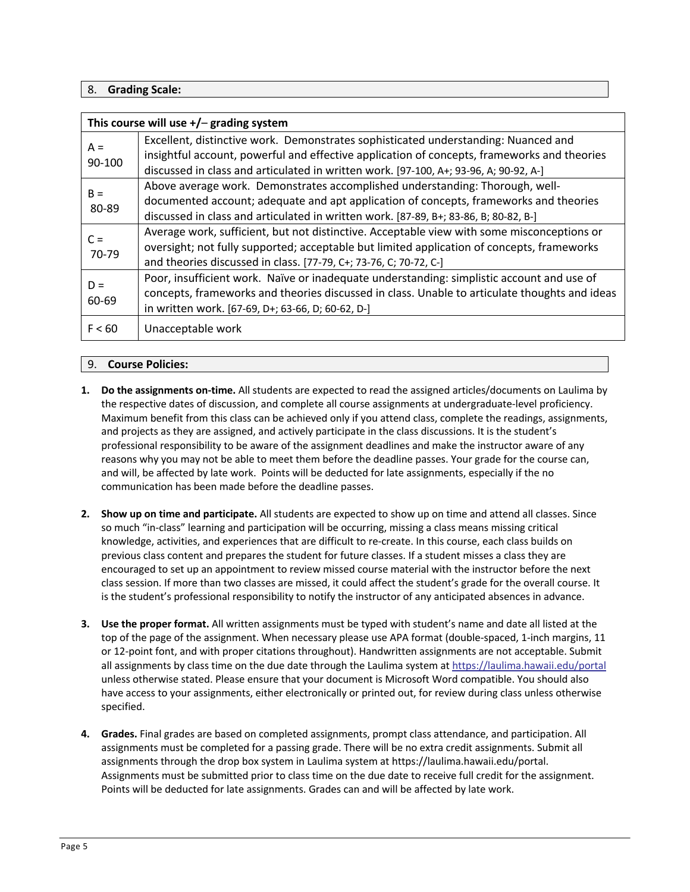# 8. **Grading Scale:**

| This course will use $+/-$ grading system |                                                                                                                                                                                                                                                                            |  |
|-------------------------------------------|----------------------------------------------------------------------------------------------------------------------------------------------------------------------------------------------------------------------------------------------------------------------------|--|
| $A =$<br>90-100                           | Excellent, distinctive work. Demonstrates sophisticated understanding: Nuanced and<br>insightful account, powerful and effective application of concepts, frameworks and theories<br>discussed in class and articulated in written work. [97-100, A+; 93-96, A; 90-92, A-] |  |
| $B =$<br>80-89                            | Above average work. Demonstrates accomplished understanding: Thorough, well-<br>documented account; adequate and apt application of concepts, frameworks and theories<br>discussed in class and articulated in written work. [87-89, B+; 83-86, B; 80-82, B-]              |  |
| $C =$<br>70-79                            | Average work, sufficient, but not distinctive. Acceptable view with some misconceptions or<br>oversight; not fully supported; acceptable but limited application of concepts, frameworks<br>and theories discussed in class. [77-79, C+; 73-76, C; 70-72, C-]              |  |
| $D =$<br>60-69                            | Poor, insufficient work. Naïve or inadequate understanding: simplistic account and use of<br>concepts, frameworks and theories discussed in class. Unable to articulate thoughts and ideas<br>in written work. [67-69, D+; 63-66, D; 60-62, D-]                            |  |
| F < 60                                    | Unacceptable work                                                                                                                                                                                                                                                          |  |

## 9. **Course Policies:**

- **1. Do the assignments on-time.** All students are expected to read the assigned articles/documents on Laulima by the respective dates of discussion, and complete all course assignments at undergraduate-level proficiency. Maximum benefit from this class can be achieved only if you attend class, complete the readings, assignments, and projects as they are assigned, and actively participate in the class discussions. It is the student's professional responsibility to be aware of the assignment deadlines and make the instructor aware of any reasons why you may not be able to meet them before the deadline passes. Your grade for the course can, and will, be affected by late work. Points will be deducted for late assignments, especially if the no communication has been made before the deadline passes.
- **2. Show up on time and participate.** All students are expected to show up on time and attend all classes. Since so much "in-class" learning and participation will be occurring, missing a class means missing critical knowledge, activities, and experiences that are difficult to re-create. In this course, each class builds on previous class content and prepares the student for future classes. If a student misses a class they are encouraged to set up an appointment to review missed course material with the instructor before the next class session. If more than two classes are missed, it could affect the student's grade for the overall course. It is the student's professional responsibility to notify the instructor of any anticipated absences in advance.
- **3. Use the proper format.** All written assignments must be typed with student's name and date all listed at the top of the page of the assignment. When necessary please use APA format (double-spaced, 1-inch margins, 11 or 12-point font, and with proper citations throughout). Handwritten assignments are not acceptable. Submit all assignments by class time on the due date through the Laulima system at https://laulima.hawaii.edu/portal unless otherwise stated. Please ensure that your document is Microsoft Word compatible. You should also have access to your assignments, either electronically or printed out, for review during class unless otherwise specified.
- **4. Grades.** Final grades are based on completed assignments, prompt class attendance, and participation. All assignments must be completed for a passing grade. There will be no extra credit assignments. Submit all assignments through the drop box system in Laulima system at https://laulima.hawaii.edu/portal. Assignments must be submitted prior to class time on the due date to receive full credit for the assignment. Points will be deducted for late assignments. Grades can and will be affected by late work.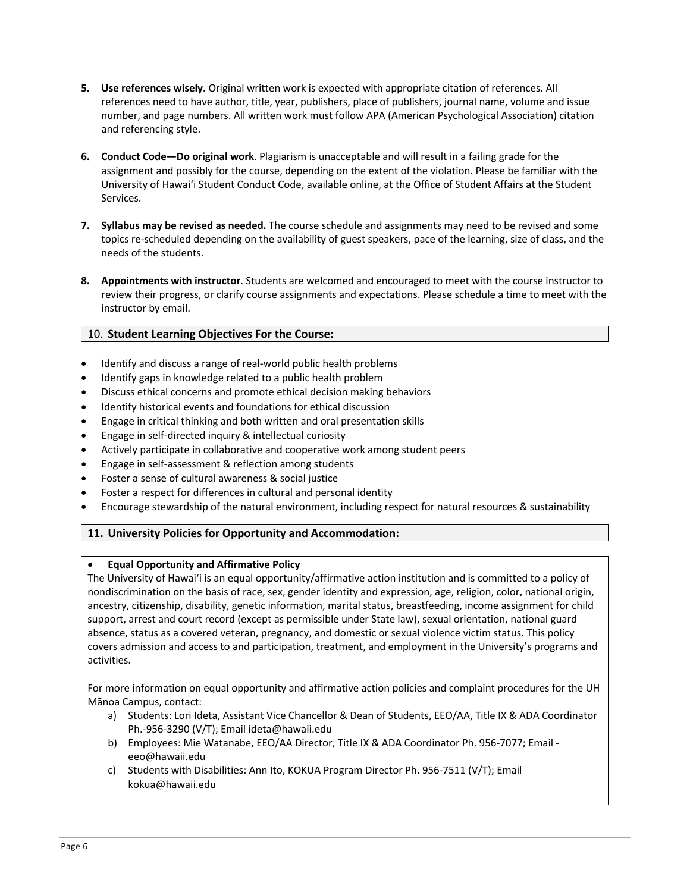- **5. Use references wisely.** Original written work is expected with appropriate citation of references. All references need to have author, title, year, publishers, place of publishers, journal name, volume and issue number, and page numbers. All written work must follow APA (American Psychological Association) citation and referencing style.
- **6. Conduct Code—Do original work**. Plagiarism is unacceptable and will result in a failing grade for the assignment and possibly for the course, depending on the extent of the violation. Please be familiar with the University of Hawai'i Student Conduct Code, available online, at the Office of Student Affairs at the Student Services.
- **7. Syllabus may be revised as needed.** The course schedule and assignments may need to be revised and some topics re-scheduled depending on the availability of guest speakers, pace of the learning, size of class, and the needs of the students.
- **8. Appointments with instructor**. Students are welcomed and encouraged to meet with the course instructor to review their progress, or clarify course assignments and expectations. Please schedule a time to meet with the instructor by email.

# 10. **Student Learning Objectives For the Course:**

- Identify and discuss a range of real-world public health problems
- Identify gaps in knowledge related to a public health problem
- Discuss ethical concerns and promote ethical decision making behaviors
- Identify historical events and foundations for ethical discussion
- Engage in critical thinking and both written and oral presentation skills
- Engage in self-directed inquiry & intellectual curiosity
- Actively participate in collaborative and cooperative work among student peers
- Engage in self-assessment & reflection among students
- Foster a sense of cultural awareness & social justice
- Foster a respect for differences in cultural and personal identity
- Encourage stewardship of the natural environment, including respect for natural resources & sustainability

# **11. University Policies for Opportunity and Accommodation:**

# • **Equal Opportunity and Affirmative Policy**

The University of Hawai'i is an equal opportunity/affirmative action institution and is committed to a policy of nondiscrimination on the basis of race, sex, gender identity and expression, age, religion, color, national origin, ancestry, citizenship, disability, genetic information, marital status, breastfeeding, income assignment for child support, arrest and court record (except as permissible under State law), sexual orientation, national guard absence, status as a covered veteran, pregnancy, and domestic or sexual violence victim status. This policy covers admission and access to and participation, treatment, and employment in the University's programs and activities.

For more information on equal opportunity and affirmative action policies and complaint procedures for the UH Mānoa Campus, contact:

- a) Students: Lori Ideta, Assistant Vice Chancellor & Dean of Students, EEO/AA, Title IX & ADA Coordinator Ph.-956-3290 (V/T); Email ideta@hawaii.edu
- b) Employees: Mie Watanabe, EEO/AA Director, Title IX & ADA Coordinator Ph. 956-7077; Email eeo@hawaii.edu
- c) Students with Disabilities: Ann Ito, KOKUA Program Director Ph. 956-7511 (V/T); Email kokua@hawaii.edu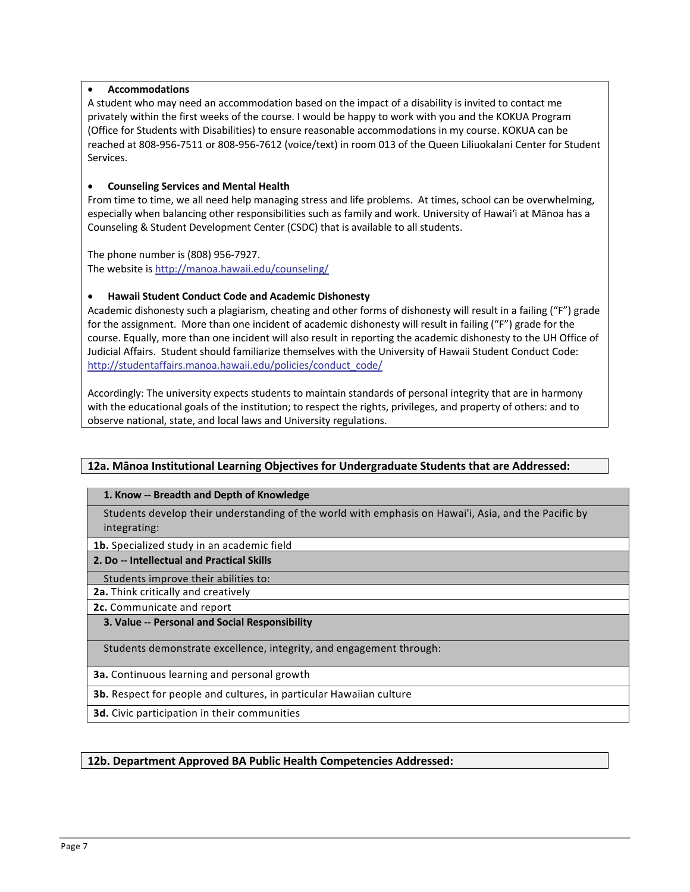## • **Accommodations**

A student who may need an accommodation based on the impact of a disability is invited to contact me privately within the first weeks of the course. I would be happy to work with you and the KOKUA Program (Office for Students with Disabilities) to ensure reasonable accommodations in my course. KOKUA can be reached at 808-956-7511 or 808-956-7612 (voice/text) in room 013 of the Queen Liliuokalani Center for Student Services.

## • **Counseling Services and Mental Health**

From time to time, we all need help managing stress and life problems. At times, school can be overwhelming, especially when balancing other responsibilities such as family and work. University of Hawai'i at Mānoa has a Counseling & Student Development Center (CSDC) that is available to all students.

The phone number is (808) 956-7927. The website is http://manoa.hawaii.edu/counseling/

## • **Hawaii Student Conduct Code and Academic Dishonesty**

Academic dishonesty such a plagiarism, cheating and other forms of dishonesty will result in a failing ("F") grade for the assignment. More than one incident of academic dishonesty will result in failing ("F") grade for the course. Equally, more than one incident will also result in reporting the academic dishonesty to the UH Office of Judicial Affairs. Student should familiarize themselves with the University of Hawaii Student Conduct Code: http://studentaffairs.manoa.hawaii.edu/policies/conduct\_code/

Accordingly: The university expects students to maintain standards of personal integrity that are in harmony with the educational goals of the institution; to respect the rights, privileges, and property of others: and to observe national, state, and local laws and University regulations.

# **12a. Mānoa Institutional Learning Objectives for Undergraduate Students that are Addressed:**

#### **1. Know -- Breadth and Depth of Knowledge**

Students develop their understanding of the world with emphasis on Hawai'i, Asia, and the Pacific by integrating:

**1b.** Specialized study in an academic field

#### **2. Do -- Intellectual and Practical Skills**

Students improve their abilities to:

**2a.** Think critically and creatively

**2c.** Communicate and report

#### **3. Value -- Personal and Social Responsibility**

Students demonstrate excellence, integrity, and engagement through:

**3a.** Continuous learning and personal growth

**3b.** Respect for people and cultures, in particular Hawaiian culture

**3d.** Civic participation in their communities

# **12b. Department Approved BA Public Health Competencies Addressed:**